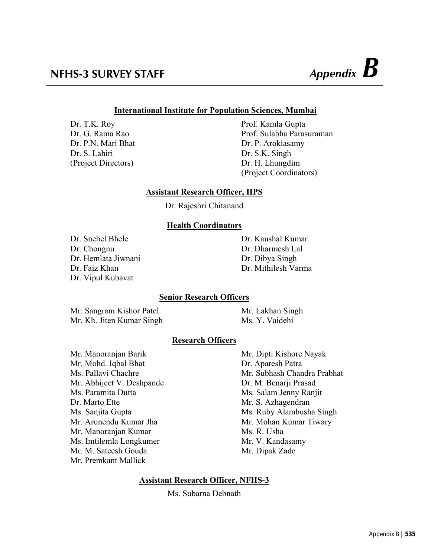## **International Institute for Population Sciences, Mumbai**

Dr. T.K. Roy Prof. Kamla Gupta Dr. P.N. Mari Bhat Dr. P. Arokiasamy Dr. S. Lahiri Dr. S.K. Singh (Project Directors) Dr. H. Lhungdim

Dr. G. Rama Rao Prof. Sulabha Parasuraman (Project Coordinators)

## **Assistant Research Officer, IIPS**

Dr. Rajeshri Chitanand

## **Health Coordinators**

Dr. Snehel Bhele Dr. Kaushal Kumar Dr. Chongnu Dr. Dharmesh Lal Dr. Hemlata Jiwnani Dr. Dibya Singh Dr. Vipul Kubavat

Dr. Faiz Khan Dr. Mithilesh Varma

## **Senior Research Officers**

Mr. Sangram Kishor Patel Mr. Lakhan Singh Mr. Kh. Jiten Kumar Singh Ms. Y. Vaidehi

## **Research Officers**

Mr. Manoranjan Barik Mr. Dipti Kishore Nayak Mr. Mohd. Iqbal Bhat Dr. Aparesh Patra Mr. Abhijeet V. Deshpande Dr. M. Benarji Prasad Ms. Paramita Dutta Ms. Salam Jenny Ranjit Dr. Marto Ette Mr. S. Azhagendran Mr. Arunendu Kumar Jha Mr. Mohan Kumar Tiwary Mr. Manoranjan Kumar Ms. R. Usha Ms. Imtilemla Longkumer Mr. V. Kandasamy Mr. M. Sateesh Gouda Mr. Dipak Zade Mr. Premkant Mallick

Ms. Pallavi Chachre Mr. Subhash Chandra Prabhat Ms. Sanjita Gupta Ms. Ruby Alambusha Singh

## **Assistant Research Officer, NFHS-3**

Ms. Subarna Debnath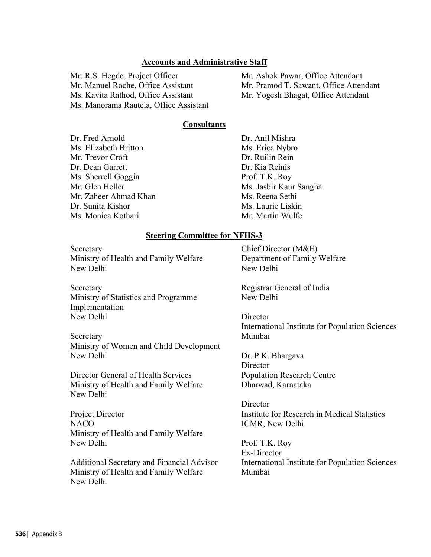#### **Accounts and Administrative Staff**

Mr. R.S. Hegde, Project Officer Mr. Ashok Pawar, Office Attendant Ms. Kavita Rathod, Office Assistant Mr. Yogesh Bhagat, Office Attendant Ms. Manorama Rautela, Office Assistant

Mr. Manuel Roche, Office Assistant Mr. Pramod T. Sawant, Office Attendant

#### **Consultants**

Dr. Fred Arnold Dr. Anil Mishra Ms. Elizabeth Britton Ms. Erica Nybro Mr. Trevor Croft Dr. Ruilin Rein Dr. Dean Garrett Dr. Kia Reinis Ms. Sherrell Goggin Prof. T.K. Roy Mr. Glen Heller Ms. Jasbir Kaur Sangha Mr. Zaheer Ahmad Khan Ms. Reena Sethi Dr. Sunita Kishor Ms. Laurie Liskin Ms. Monica Kothari Mr. Mr. Martin Wulfe

#### **Steering Committee for NFHS-3**

Secretary Chief Director (M&E) Ministry of Health and Family Welfare Department of Family Welfare New Delhi New Delhi

Secretary Registrar General of India Ministry of Statistics and Programme New Delhi Implementation New Delhi Director

Secretary Mumbai Ministry of Women and Child Development New Delhi Dr. P.K. Bhargava

Director General of Health Services Population Research Centre Ministry of Health and Family Welfare Dharwad, Karnataka New Delhi

NACO ICMR, New Delhi Ministry of Health and Family Welfare New Delhi Prof. T.K. Roy

Ministry of Health and Family Welfare Mumbai New Delhi

International Institute for Population Sciences

**Director** 

**Director** Project Director Institute for Research in Medical Statistics

 Ex-Director Additional Secretary and Financial Advisor International Institute for Population Sciences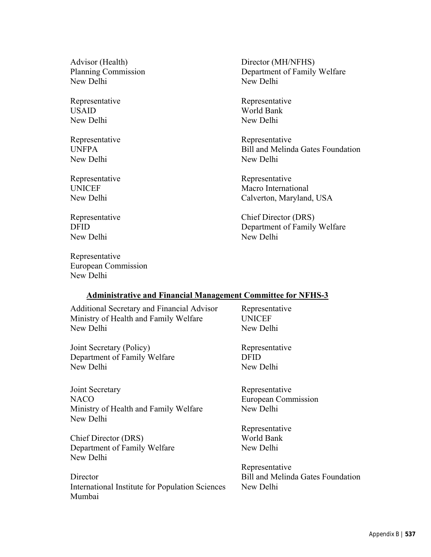Advisor (Health) Director (MH/NFHS) New Delhi New Delhi

USAID World Bank New Delhi New Delhi

New Delhi New Delhi

New Delhi New Delhi

Representative European Commission New Delhi

Planning Commission Department of Family Welfare

Representative Representative

Representative Representative UNFPA Bill and Melinda Gates Foundation

Representative Representative UNICEF Macro International New Delhi Calverton, Maryland, USA

Representative Chief Director (DRS) Department of Family Welfare

#### **Administrative and Financial Management Committee for NFHS-3**

Additional Secretary and Financial Advisor Representative Ministry of Health and Family Welfare UNICEF New Delhi New Delhi

Joint Secretary (Policy) Representative Department of Family Welfare DFID New Delhi New Delhi

Joint Secretary Representative NACO European Commission Ministry of Health and Family Welfare New Delhi New Delhi

Chief Director (DRS) World Bank Department of Family Welfare New Delhi New Delhi

Director Bill and Melinda Gates Foundation International Institute for Population Sciences New Delhi Mumbai

Representative

Representative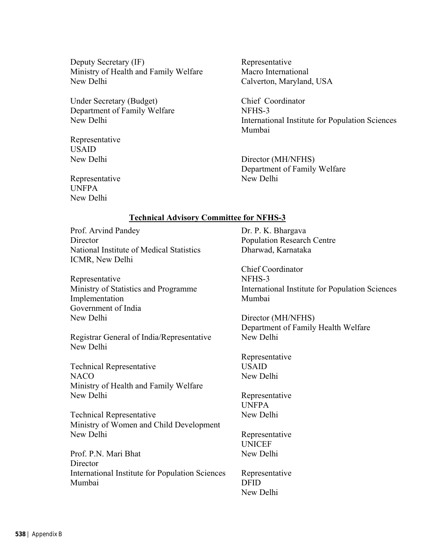Deputy Secretary *(IF)* Representative Ministry of Health and Family Welfare Macro International New Delhi Calverton, Maryland, USA

Under Secretary (Budget) Chief Coordinator Department of Family Welfare NFHS-3

Representative USAID

New Delhi International Institute for Population Sciences Mumbai

New Delhi Director (MH/NFHS) Department of Family Welfare

Representative New Delhi UNFPA New Delhi

## **Technical Advisory Committee for NFHS-3**

Prof. Arvind Pandey Dr. P. K. Bhargava Director Population Research Centre National Institute of Medical Statistics Dharwad, Karnataka ICMR, New Delhi

Representative NFHS-3 Implementation Mumbai Government of India New Delhi Director (MH/NFHS)

Registrar General of India/Representative New Delhi New Delhi

Technical Representative USAID NACO New Delhi Ministry of Health and Family Welfare New Delhi Representative

Technical Representative New Delhi Ministry of Women and Child Development New Delhi Representative

Prof. P.N. Mari Bhat New Delhi **Director** International Institute for Population Sciences Representative Mumbai DFID

 Chief Coordinator Ministry of Statistics and Programme International Institute for Population Sciences

Department of Family Health Welfare

Representative

UNFPA

UNICEF

New Delhi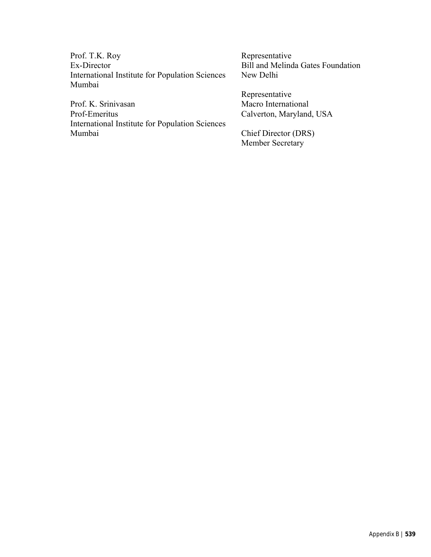Prof. T.K. Roy Representative<br>Ex-Director Bill and Melind International Institute for Population Sciences New Delhi Mumbai

Prof. K. Srinivasan Macro International Prof-Emeritus Calverton, Maryland, USA International Institute for Population Sciences Mumbai Chief Director (DRS)

Bill and Melinda Gates Foundation

Representative

Member Secretary